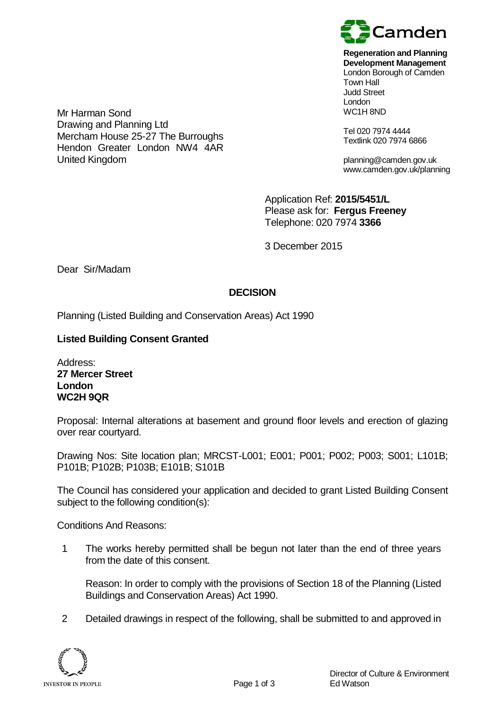

**Regeneration and Planning**

**Development Management** London Borough of Camden Town Hall Judd Street London WC1H 8ND

Tel 020 7974 4444 Textlink 020 7974 6866

planning@camden.gov.uk www.camden.gov.uk/planning

Application Ref: **2015/5451/L** Please ask for: **Fergus Freeney** Telephone: 020 7974 **3366**

3 December 2015

Dear Sir/Madam

Mr Harman Sond

United Kingdom

Drawing and Planning Ltd

Mercham House 25-27 The Burroughs Hendon Greater London NW4 4AR

# **DECISION**

Planning (Listed Building and Conservation Areas) Act 1990

### **Listed Building Consent Granted**

Address: **27 Mercer Street London WC2H 9QR**

Proposal: Internal alterations at basement and ground floor levels and erection of glazing over rear courtyard.

Drawing Nos: Site location plan; MRCST-L001; E001; P001; P002; P003; S001; L101B; P101B; P102B; P103B; E101B; S101B

The Council has considered your application and decided to grant Listed Building Consent subject to the following condition(s):

Conditions And Reasons:

1 The works hereby permitted shall be begun not later than the end of three years from the date of this consent.

Reason: In order to comply with the provisions of Section 18 of the Planning (Listed Buildings and Conservation Areas) Act 1990.

2 Detailed drawings in respect of the following, shall be submitted to and approved in

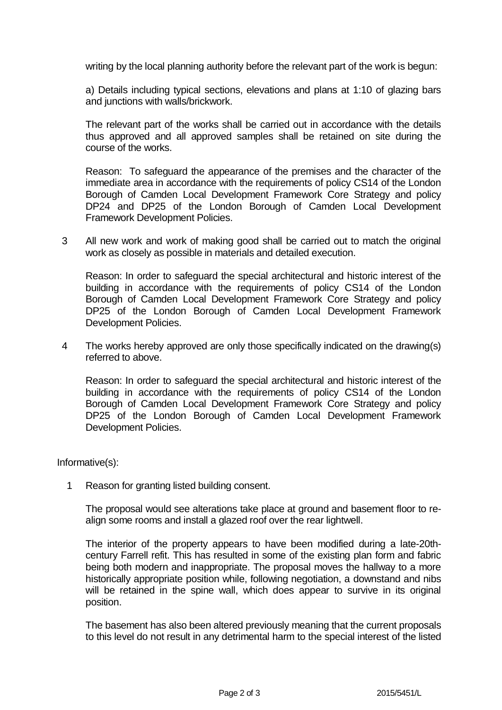writing by the local planning authority before the relevant part of the work is begun:

a) Details including typical sections, elevations and plans at 1:10 of glazing bars and junctions with walls/brickwork.

The relevant part of the works shall be carried out in accordance with the details thus approved and all approved samples shall be retained on site during the course of the works.

Reason: To safeguard the appearance of the premises and the character of the immediate area in accordance with the requirements of policy CS14 of the London Borough of Camden Local Development Framework Core Strategy and policy DP24 and DP25 of the London Borough of Camden Local Development Framework Development Policies.

3 All new work and work of making good shall be carried out to match the original work as closely as possible in materials and detailed execution.

Reason: In order to safeguard the special architectural and historic interest of the building in accordance with the requirements of policy CS14 of the London Borough of Camden Local Development Framework Core Strategy and policy DP25 of the London Borough of Camden Local Development Framework Development Policies.

4 The works hereby approved are only those specifically indicated on the drawing(s) referred to above.

Reason: In order to safeguard the special architectural and historic interest of the building in accordance with the requirements of policy CS14 of the London Borough of Camden Local Development Framework Core Strategy and policy DP25 of the London Borough of Camden Local Development Framework Development Policies.

Informative(s):

1 Reason for granting listed building consent.

The proposal would see alterations take place at ground and basement floor to realign some rooms and install a glazed roof over the rear lightwell.

The interior of the property appears to have been modified during a late-20thcentury Farrell refit. This has resulted in some of the existing plan form and fabric being both modern and inappropriate. The proposal moves the hallway to a more historically appropriate position while, following negotiation, a downstand and nibs will be retained in the spine wall, which does appear to survive in its original position.

The basement has also been altered previously meaning that the current proposals to this level do not result in any detrimental harm to the special interest of the listed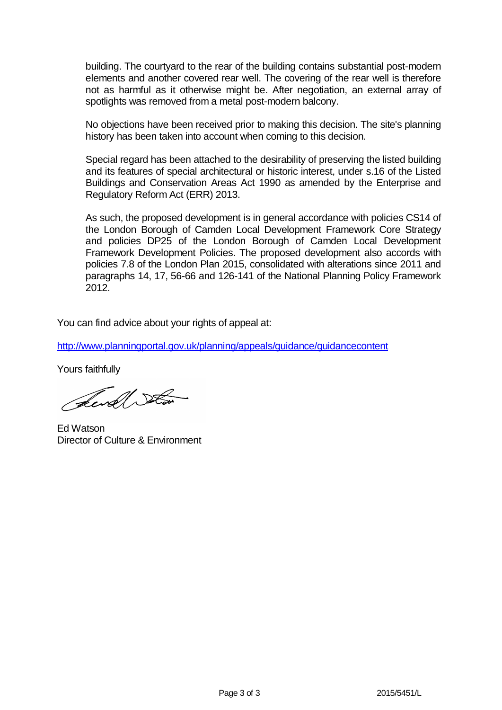building. The courtyard to the rear of the building contains substantial post-modern elements and another covered rear well. The covering of the rear well is therefore not as harmful as it otherwise might be. After negotiation, an external array of spotlights was removed from a metal post-modern balcony.

No objections have been received prior to making this decision. The site's planning history has been taken into account when coming to this decision.

Special regard has been attached to the desirability of preserving the listed building and its features of special architectural or historic interest, under s.16 of the Listed Buildings and Conservation Areas Act 1990 as amended by the Enterprise and Regulatory Reform Act (ERR) 2013.

As such, the proposed development is in general accordance with policies CS14 of the London Borough of Camden Local Development Framework Core Strategy and policies DP25 of the London Borough of Camden Local Development Framework Development Policies. The proposed development also accords with policies 7.8 of the London Plan 2015, consolidated with alterations since 2011 and paragraphs 14, 17, 56-66 and 126-141 of the National Planning Policy Framework 2012.

You can find advice about your rights of appeal at:

<http://www.planningportal.gov.uk/planning/appeals/guidance/guidancecontent>

Yours faithfully

Sevel Stor

Ed Watson Director of Culture & Environment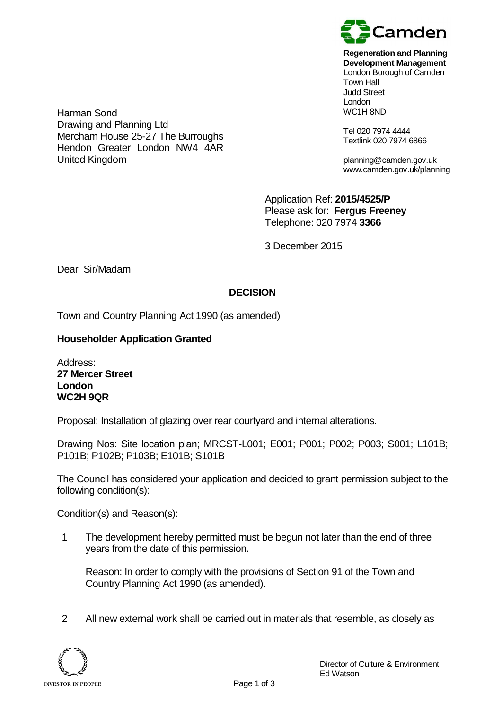

**Regeneration and Planning**

**Development Management** London Borough of Camden Town Hall Judd Street London WC1H 8ND

Tel 020 7974 4444 Textlink 020 7974 6866

planning@camden.gov.uk www.camden.gov.uk/planning

Application Ref: **2015/4525/P** Please ask for: **Fergus Freeney** Telephone: 020 7974 **3366**

3 December 2015

Dear Sir/Madam

Harman Sond

United Kingdom

Drawing and Planning Ltd

Mercham House 25-27 The Burroughs Hendon Greater London NW4 4AR

# **DECISION**

Town and Country Planning Act 1990 (as amended)

## **Householder Application Granted**

Address: **27 Mercer Street London WC2H 9QR**

Proposal: Installation of glazing over rear courtyard and internal alterations.

Drawing Nos: Site location plan; MRCST-L001; E001; P001; P002; P003; S001; L101B; P101B; P102B; P103B; E101B; S101B

The Council has considered your application and decided to grant permission subject to the following condition(s):

Condition(s) and Reason(s):

1 The development hereby permitted must be begun not later than the end of three years from the date of this permission.

Reason: In order to comply with the provisions of Section 91 of the Town and Country Planning Act 1990 (as amended).

2 All new external work shall be carried out in materials that resemble, as closely as

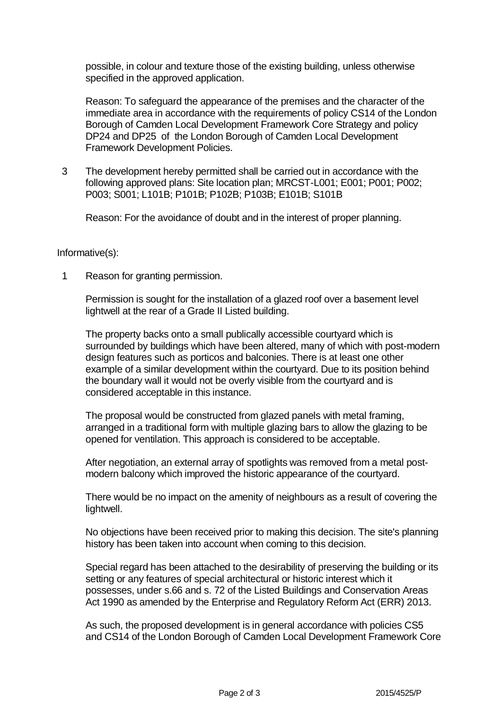possible, in colour and texture those of the existing building, unless otherwise specified in the approved application.

Reason: To safeguard the appearance of the premises and the character of the immediate area in accordance with the requirements of policy CS14 of the London Borough of Camden Local Development Framework Core Strategy and policy DP24 and DP25 of the London Borough of Camden Local Development Framework Development Policies.

3 The development hereby permitted shall be carried out in accordance with the following approved plans: Site location plan; MRCST-L001; E001; P001; P002; P003; S001; L101B; P101B; P102B; P103B; E101B; S101B

Reason: For the avoidance of doubt and in the interest of proper planning.

### Informative(s):

1 Reason for granting permission.

Permission is sought for the installation of a glazed roof over a basement level lightwell at the rear of a Grade II Listed building.

The property backs onto a small publically accessible courtyard which is surrounded by buildings which have been altered, many of which with post-modern design features such as porticos and balconies. There is at least one other example of a similar development within the courtyard. Due to its position behind the boundary wall it would not be overly visible from the courtyard and is considered acceptable in this instance.

The proposal would be constructed from glazed panels with metal framing, arranged in a traditional form with multiple glazing bars to allow the glazing to be opened for ventilation. This approach is considered to be acceptable.

After negotiation, an external array of spotlights was removed from a metal postmodern balcony which improved the historic appearance of the courtyard.

There would be no impact on the amenity of neighbours as a result of covering the lightwell.

No objections have been received prior to making this decision. The site's planning history has been taken into account when coming to this decision.

Special regard has been attached to the desirability of preserving the building or its setting or any features of special architectural or historic interest which it possesses, under s.66 and s. 72 of the Listed Buildings and Conservation Areas Act 1990 as amended by the Enterprise and Regulatory Reform Act (ERR) 2013.

As such, the proposed development is in general accordance with policies CS5 and CS14 of the London Borough of Camden Local Development Framework Core